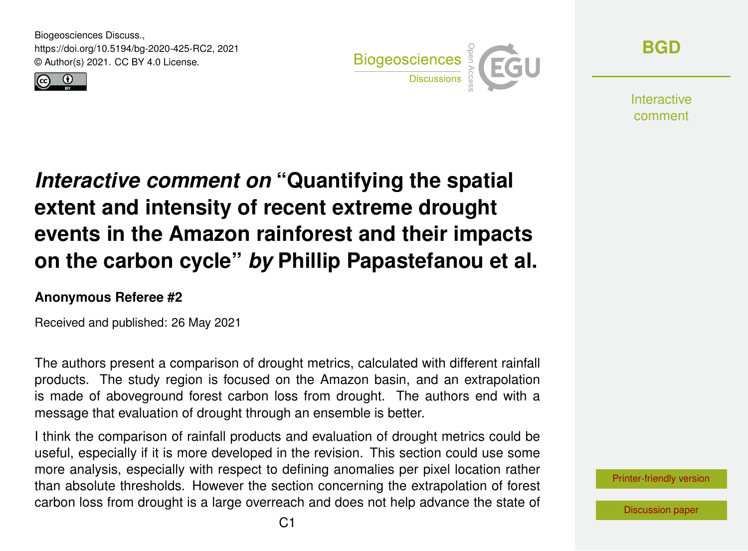Biogeosciences Discuss., https://doi.org/10.5194/bg-2020-425-RC2, 2021 © Author(s) 2021. CC BY 4.0 License.





**[BGD](https://bg.copernicus.org/preprints/)**

**Interactive** comment

# *Interactive comment on* **"Quantifying the spatial extent and intensity of recent extreme drought events in the Amazon rainforest and their impacts on the carbon cycle"** *by* **Phillip Papastefanou et al.**

#### **Anonymous Referee #2**

Received and published: 26 May 2021

The authors present a comparison of drought metrics, calculated with different rainfall products. The study region is focused on the Amazon basin, and an extrapolation is made of aboveground forest carbon loss from drought. The authors end with a message that evaluation of drought through an ensemble is better.

I think the comparison of rainfall products and evaluation of drought metrics could be useful, especially if it is more developed in the revision. This section could use some more analysis, especially with respect to defining anomalies per pixel location rather than absolute thresholds. However the section concerning the extrapolation of forest carbon loss from drought is a large overreach and does not help advance the state of

[Printer-friendly version](https://bg.copernicus.org/preprints/bg-2020-425/bg-2020-425-RC2-print.pdf)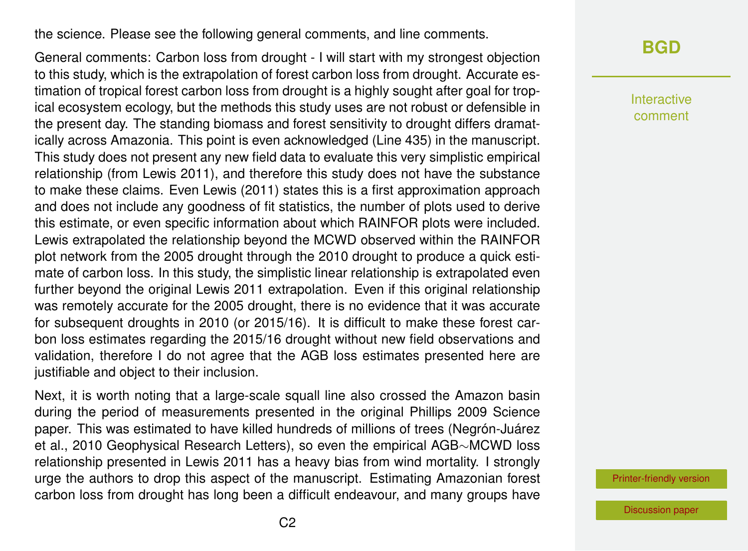the science. Please see the following general comments, and line comments.

General comments: Carbon loss from drought - I will start with my strongest objection to this study, which is the extrapolation of forest carbon loss from drought. Accurate estimation of tropical forest carbon loss from drought is a highly sought after goal for tropical ecosystem ecology, but the methods this study uses are not robust or defensible in the present day. The standing biomass and forest sensitivity to drought differs dramatically across Amazonia. This point is even acknowledged (Line 435) in the manuscript. This study does not present any new field data to evaluate this very simplistic empirical relationship (from Lewis 2011), and therefore this study does not have the substance to make these claims. Even Lewis (2011) states this is a first approximation approach and does not include any goodness of fit statistics, the number of plots used to derive this estimate, or even specific information about which RAINFOR plots were included. Lewis extrapolated the relationship beyond the MCWD observed within the RAINFOR plot network from the 2005 drought through the 2010 drought to produce a quick estimate of carbon loss. In this study, the simplistic linear relationship is extrapolated even further beyond the original Lewis 2011 extrapolation. Even if this original relationship was remotely accurate for the 2005 drought, there is no evidence that it was accurate for subsequent droughts in 2010 (or 2015/16). It is difficult to make these forest carbon loss estimates regarding the 2015/16 drought without new field observations and validation, therefore I do not agree that the AGB loss estimates presented here are justifiable and object to their inclusion.

Next, it is worth noting that a large-scale squall line also crossed the Amazon basin during the period of measurements presented in the original Phillips 2009 Science paper. This was estimated to have killed hundreds of millions of trees (Negrón-Juárez et al., 2010 Geophysical Research Letters), so even the empirical AGB∼MCWD loss relationship presented in Lewis 2011 has a heavy bias from wind mortality. I strongly urge the authors to drop this aspect of the manuscript. Estimating Amazonian forest carbon loss from drought has long been a difficult endeavour, and many groups have

#### **[BGD](https://bg.copernicus.org/preprints/)**

Interactive comment

[Printer-friendly version](https://bg.copernicus.org/preprints/bg-2020-425/bg-2020-425-RC2-print.pdf)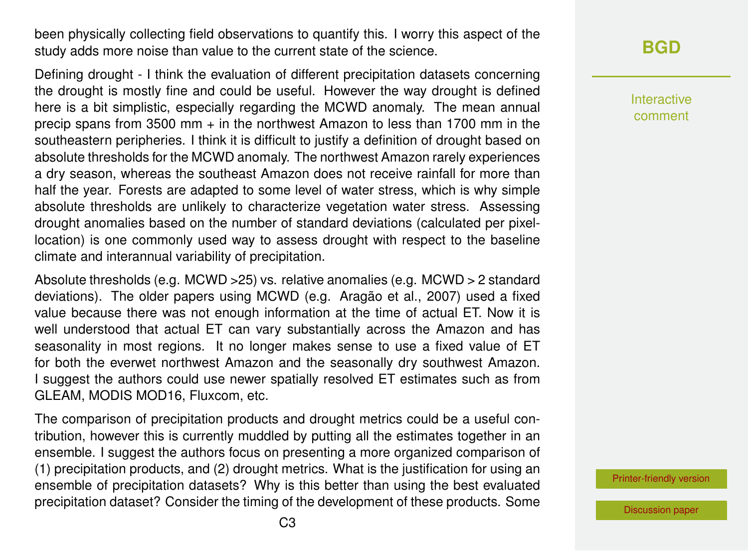been physically collecting field observations to quantify this. I worry this aspect of the study adds more noise than value to the current state of the science.

Defining drought - I think the evaluation of different precipitation datasets concerning the drought is mostly fine and could be useful. However the way drought is defined here is a bit simplistic, especially regarding the MCWD anomaly. The mean annual precip spans from 3500 mm + in the northwest Amazon to less than 1700 mm in the southeastern peripheries. I think it is difficult to justify a definition of drought based on absolute thresholds for the MCWD anomaly. The northwest Amazon rarely experiences a dry season, whereas the southeast Amazon does not receive rainfall for more than half the year. Forests are adapted to some level of water stress, which is why simple absolute thresholds are unlikely to characterize vegetation water stress. Assessing drought anomalies based on the number of standard deviations (calculated per pixellocation) is one commonly used way to assess drought with respect to the baseline climate and interannual variability of precipitation.

Absolute thresholds (e.g. MCWD >25) vs. relative anomalies (e.g. MCWD > 2 standard deviations). The older papers using MCWD (e.g. Aragão et al., 2007) used a fixed value because there was not enough information at the time of actual ET. Now it is well understood that actual ET can vary substantially across the Amazon and has seasonality in most regions. It no longer makes sense to use a fixed value of ET for both the everwet northwest Amazon and the seasonally dry southwest Amazon. I suggest the authors could use newer spatially resolved ET estimates such as from GLEAM, MODIS MOD16, Fluxcom, etc.

The comparison of precipitation products and drought metrics could be a useful contribution, however this is currently muddled by putting all the estimates together in an ensemble. I suggest the authors focus on presenting a more organized comparison of (1) precipitation products, and (2) drought metrics. What is the justification for using an ensemble of precipitation datasets? Why is this better than using the best evaluated precipitation dataset? Consider the timing of the development of these products. Some

### **[BGD](https://bg.copernicus.org/preprints/)**

Interactive comment

[Printer-friendly version](https://bg.copernicus.org/preprints/bg-2020-425/bg-2020-425-RC2-print.pdf)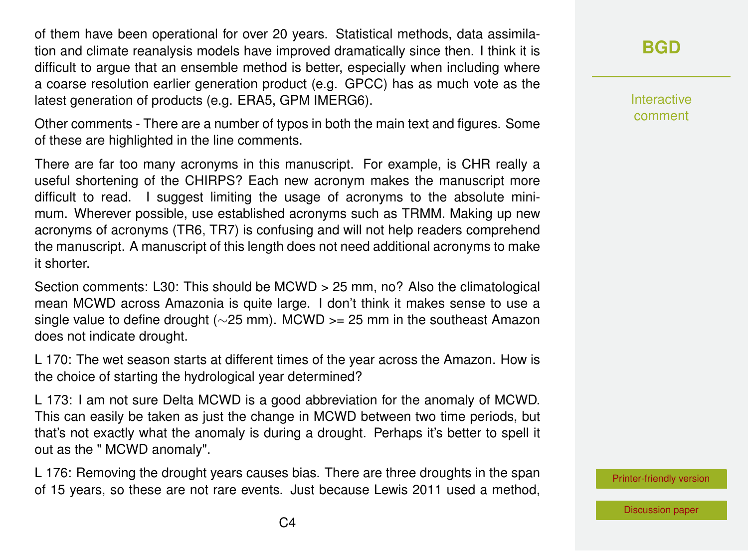of them have been operational for over 20 years. Statistical methods, data assimilation and climate reanalysis models have improved dramatically since then. I think it is difficult to argue that an ensemble method is better, especially when including where a coarse resolution earlier generation product (e.g. GPCC) has as much vote as the latest generation of products (e.g. ERA5, GPM IMERG6).

Other comments - There are a number of typos in both the main text and figures. Some of these are highlighted in the line comments.

There are far too many acronyms in this manuscript. For example, is CHR really a useful shortening of the CHIRPS? Each new acronym makes the manuscript more difficult to read. I suggest limiting the usage of acronyms to the absolute minimum. Wherever possible, use established acronyms such as TRMM. Making up new acronyms of acronyms (TR6, TR7) is confusing and will not help readers comprehend the manuscript. A manuscript of this length does not need additional acronyms to make it shorter.

Section comments: L30: This should be MCWD > 25 mm, no? Also the climatological mean MCWD across Amazonia is quite large. I don't think it makes sense to use a single value to define drought (∼25 mm). MCWD >= 25 mm in the southeast Amazon does not indicate drought.

L 170: The wet season starts at different times of the year across the Amazon. How is the choice of starting the hydrological year determined?

L 173: I am not sure Delta MCWD is a good abbreviation for the anomaly of MCWD. This can easily be taken as just the change in MCWD between two time periods, but that's not exactly what the anomaly is during a drought. Perhaps it's better to spell it out as the " MCWD anomaly".

L 176: Removing the drought years causes bias. There are three droughts in the span of 15 years, so these are not rare events. Just because Lewis 2011 used a method,

### **[BGD](https://bg.copernicus.org/preprints/)**

Interactive comment

[Printer-friendly version](https://bg.copernicus.org/preprints/bg-2020-425/bg-2020-425-RC2-print.pdf)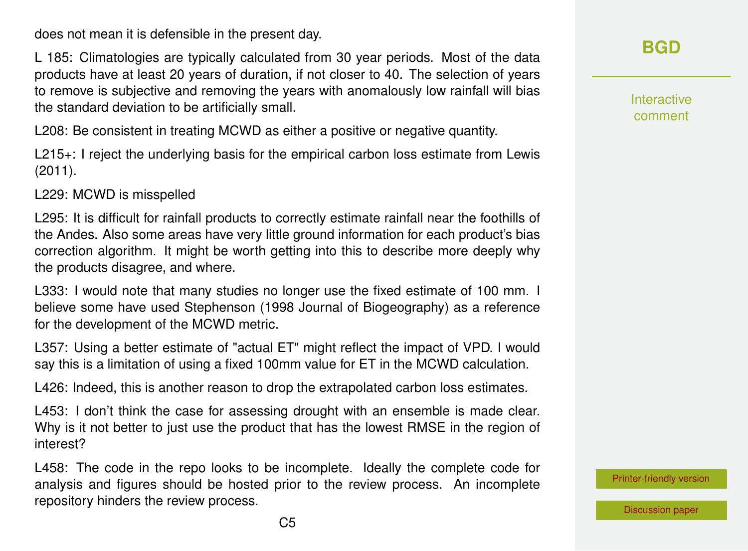does not mean it is defensible in the present day.

L 185: Climatologies are typically calculated from 30 year periods. Most of the data products have at least 20 years of duration, if not closer to 40. The selection of years to remove is subjective and removing the years with anomalously low rainfall will bias the standard deviation to be artificially small.

L208: Be consistent in treating MCWD as either a positive or negative quantity.

L215<sup>+</sup>: I reject the underlying basis for the empirical carbon loss estimate from Lewis (2011).

L229: MCWD is misspelled

L295: It is difficult for rainfall products to correctly estimate rainfall near the foothills of the Andes. Also some areas have very little ground information for each product's bias correction algorithm. It might be worth getting into this to describe more deeply why the products disagree, and where.

L333: I would note that many studies no longer use the fixed estimate of 100 mm. I believe some have used Stephenson (1998 Journal of Biogeography) as a reference for the development of the MCWD metric.

L357: Using a better estimate of "actual ET" might reflect the impact of VPD. I would say this is a limitation of using a fixed 100mm value for ET in the MCWD calculation.

L426: Indeed, this is another reason to drop the extrapolated carbon loss estimates.

L453: I don't think the case for assessing drought with an ensemble is made clear. Why is it not better to just use the product that has the lowest RMSE in the region of interest?

L458: The code in the repo looks to be incomplete. Ideally the complete code for analysis and figures should be hosted prior to the review process. An incomplete repository hinders the review process.

**[BGD](https://bg.copernicus.org/preprints/)**

Interactive comment

[Printer-friendly version](https://bg.copernicus.org/preprints/bg-2020-425/bg-2020-425-RC2-print.pdf)